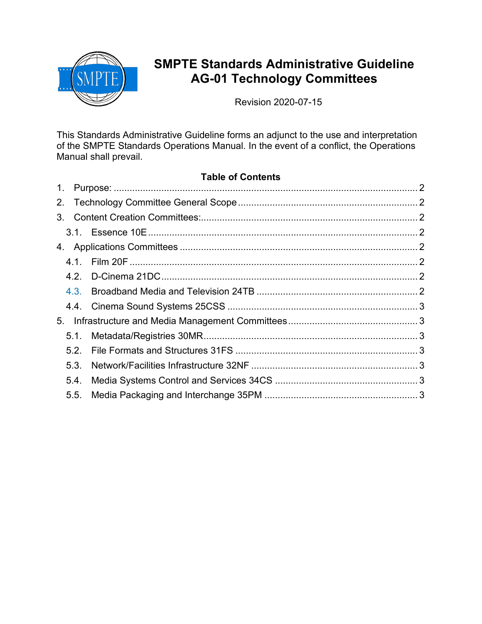

# **SMPTE Standards Administrative Guideline AG-01 Technology Committees**

Revision 2020-07-15

This Standards Administrative Guideline forms an adjunct to the use and interpretation of the SMPTE Standards Operations Manual. In the event of a conflict, the Operations Manual shall prevail.

### **Table of Contents**

| $1_{\cdot}$ |      |  |
|-------------|------|--|
|             |      |  |
|             |      |  |
|             |      |  |
|             |      |  |
|             |      |  |
|             |      |  |
|             | 4.3. |  |
|             |      |  |
| 5.          |      |  |
|             | 5.1. |  |
|             | 5.2. |  |
|             | 5.3. |  |
|             | 5.4. |  |
|             | 5.5. |  |
|             |      |  |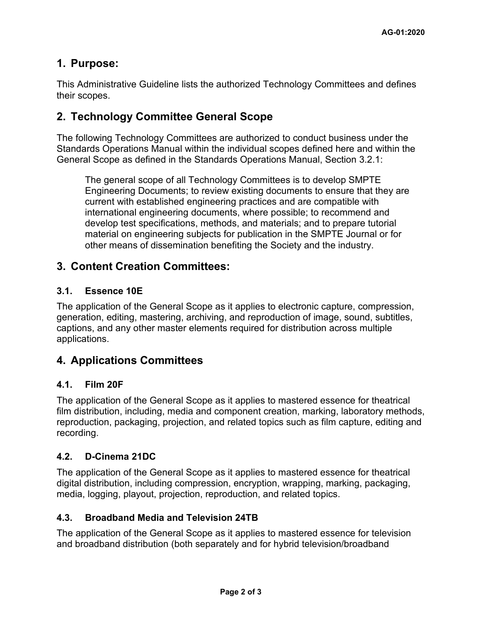# **1. Purpose:**

This Administrative Guideline lists the authorized Technology Committees and defines their scopes.

# **2. Technology Committee General Scope**

The following Technology Committees are authorized to conduct business under the Standards Operations Manual within the individual scopes defined here and within the General Scope as defined in the Standards Operations Manual, Section 3.2.1:

The general scope of all Technology Committees is to develop SMPTE Engineering Documents; to review existing documents to ensure that they are current with established engineering practices and are compatible with international engineering documents, where possible; to recommend and develop test specifications, methods, and materials; and to prepare tutorial material on engineering subjects for publication in the SMPTE Journal or for other means of dissemination benefiting the Society and the industry.

# **3. Content Creation Committees:**

#### **3.1. [Essence 10E](https://www.smpte.org/apps/org/workgroup/10e/index.php)**

The application of the General Scope as it applies to electronic capture, compression, generation, editing, mastering, archiving, and reproduction of image, sound, subtitles, captions, and any other master elements required for distribution across multiple applications.

### **4. Applications Committees**

#### **4.1. [Film 20F](https://www.smpte.org/apps/org/workgroup/20f/index.php)**

The application of the General Scope as it applies to mastered essence for theatrical film distribution, including, media and component creation, marking, laboratory methods, reproduction, packaging, projection, and related topics such as film capture, editing and recording.

#### **4.2. [D-Cinema 21DC](https://www.smpte.org/apps/org/workgroup/21dc/index.php)**

The application of the General Scope as it applies to mastered essence for theatrical digital distribution, including compression, encryption, wrapping, marking, packaging, media, logging, playout, projection, reproduction, and related topics.

#### **4.3. Broadband Media and Television 24TB**

The application of the General Scope as it applies to mastered essence for television and broadband distribution (both separately and for hybrid television/broadband